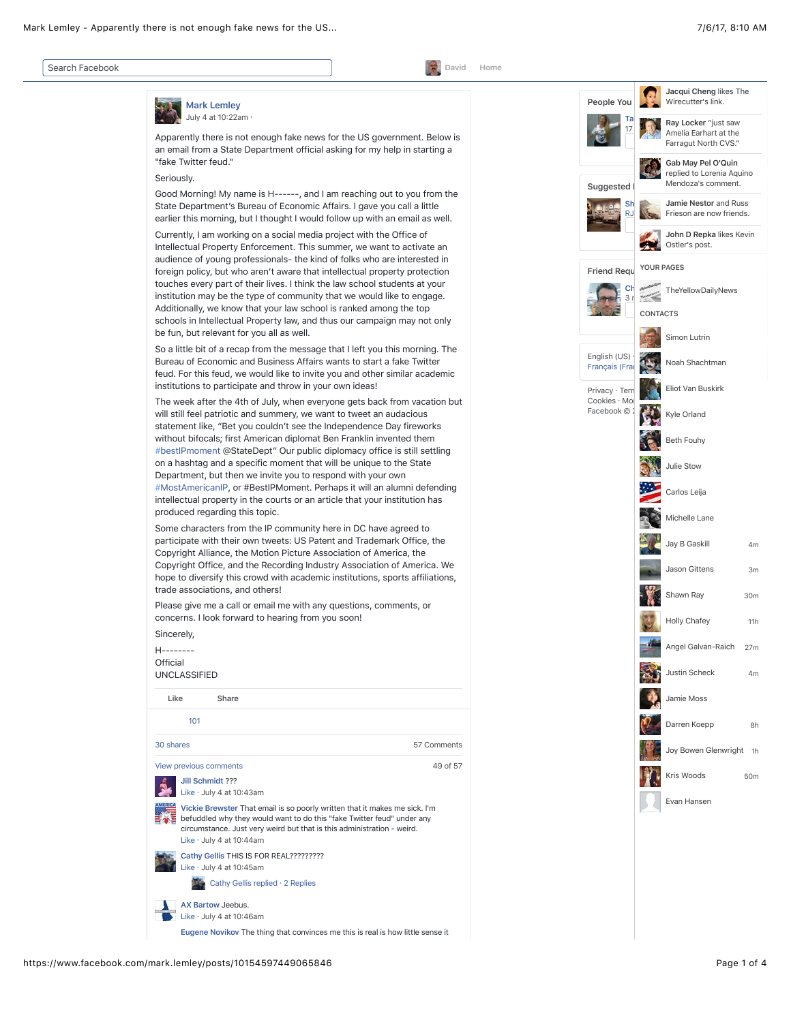| David                                                                                                                                                                                                                                                                                                                                                                                                                                                                                                                                                                                                                                                                                                         | Home |
|---------------------------------------------------------------------------------------------------------------------------------------------------------------------------------------------------------------------------------------------------------------------------------------------------------------------------------------------------------------------------------------------------------------------------------------------------------------------------------------------------------------------------------------------------------------------------------------------------------------------------------------------------------------------------------------------------------------|------|
| <b>Mark Lemley</b>                                                                                                                                                                                                                                                                                                                                                                                                                                                                                                                                                                                                                                                                                            |      |
| July 4 at 10:22am ·                                                                                                                                                                                                                                                                                                                                                                                                                                                                                                                                                                                                                                                                                           |      |
| Apparently there is not enough fake news for the US government. Below is<br>an email from a State Department official asking for my help in starting a<br>"fake Twitter feud."                                                                                                                                                                                                                                                                                                                                                                                                                                                                                                                                |      |
| Seriously.                                                                                                                                                                                                                                                                                                                                                                                                                                                                                                                                                                                                                                                                                                    |      |
| Good Morning! My name is H------, and I am reaching out to you from the<br>State Department's Bureau of Economic Affairs. I gave you call a little<br>earlier this morning, but I thought I would follow up with an email as well.                                                                                                                                                                                                                                                                                                                                                                                                                                                                            |      |
| Currently, I am working on a social media project with the Office of<br>Intellectual Property Enforcement. This summer, we want to activate an<br>audience of young professionals- the kind of folks who are interested in<br>foreign policy, but who aren't aware that intellectual property protection<br>touches every part of their lives. I think the law school students at your<br>institution may be the type of community that we would like to engage.<br>Additionally, we know that your law school is ranked among the top<br>schools in Intellectual Property law, and thus our campaign may not only<br>be fun, but relevant for you all as well.                                               |      |
| So a little bit of a recap from the message that I left you this morning. The<br>Bureau of Economic and Business Affairs wants to start a fake Twitter<br>feud. For this feud, we would like to invite you and other similar academic<br>institutions to participate and throw in your own ideas!                                                                                                                                                                                                                                                                                                                                                                                                             |      |
| The week after the 4th of July, when everyone gets back from vacation but<br>will still feel patriotic and summery, we want to tweet an audacious<br>statement like, "Bet you couldn't see the Independence Day fireworks<br>without bifocals; first American diplomat Ben Franklin invented them<br>#bestIPmoment @StateDept" Our public diplomacy office is still settling<br>on a hashtag and a specific moment that will be unique to the State<br>Department, but then we invite you to respond with your own<br>#MostAmericanIP, or #BestIPMoment. Perhaps it will an alumni defending<br>intellectual property in the courts or an article that your institution has<br>produced regarding this topic. |      |
| Some characters from the IP community here in DC have agreed to<br>participate with their own tweets: US Patent and Trademark Office, the<br>Copyright Alliance, the Motion Picture Association of America, the<br>Copyright Office, and the Recording Industry Association of America. We<br>hope to diversify this crowd with academic institutions, sports affiliations,<br>trade associations, and others!                                                                                                                                                                                                                                                                                                |      |
| Please give me a call or email me with any questions, comments, or<br>concerns. I look forward to hearing from you soon!                                                                                                                                                                                                                                                                                                                                                                                                                                                                                                                                                                                      |      |
| Sincerely,                                                                                                                                                                                                                                                                                                                                                                                                                                                                                                                                                                                                                                                                                                    |      |
| H--------<br>Official<br><b>UNCLASSIFIED</b>                                                                                                                                                                                                                                                                                                                                                                                                                                                                                                                                                                                                                                                                  |      |
| Like<br>Share                                                                                                                                                                                                                                                                                                                                                                                                                                                                                                                                                                                                                                                                                                 |      |
| 101                                                                                                                                                                                                                                                                                                                                                                                                                                                                                                                                                                                                                                                                                                           |      |
| 30 shares<br>57 Comments                                                                                                                                                                                                                                                                                                                                                                                                                                                                                                                                                                                                                                                                                      |      |
| View previous comments<br>49 of 57                                                                                                                                                                                                                                                                                                                                                                                                                                                                                                                                                                                                                                                                            |      |
| Jill Schmidt ???<br>Like · July 4 at 10:43am                                                                                                                                                                                                                                                                                                                                                                                                                                                                                                                                                                                                                                                                  |      |
| Vickie Brewster That email is so poorly written that it makes me sick. I'm<br>befuddled why they would want to do this "fake Twitter feud" under any<br>circumstance. Just very weird but that is this administration - weird.<br>Like $\cdot$ July 4 at 10:44am                                                                                                                                                                                                                                                                                                                                                                                                                                              |      |
| Cathy Gellis THIS IS FOR REAL?????????<br>Like · July 4 at 10:45am                                                                                                                                                                                                                                                                                                                                                                                                                                                                                                                                                                                                                                            |      |
| Cathy Gellis replied · 2 Replies                                                                                                                                                                                                                                                                                                                                                                                                                                                                                                                                                                                                                                                                              |      |
| AX Bartow Jeebus.<br>Like · July 4 at 10:46am                                                                                                                                                                                                                                                                                                                                                                                                                                                                                                                                                                                                                                                                 |      |
| Eugene Novikov The thing that convinces me this is real is how little sense it                                                                                                                                                                                                                                                                                                                                                                                                                                                                                                                                                                                                                                |      |

**SOF** 

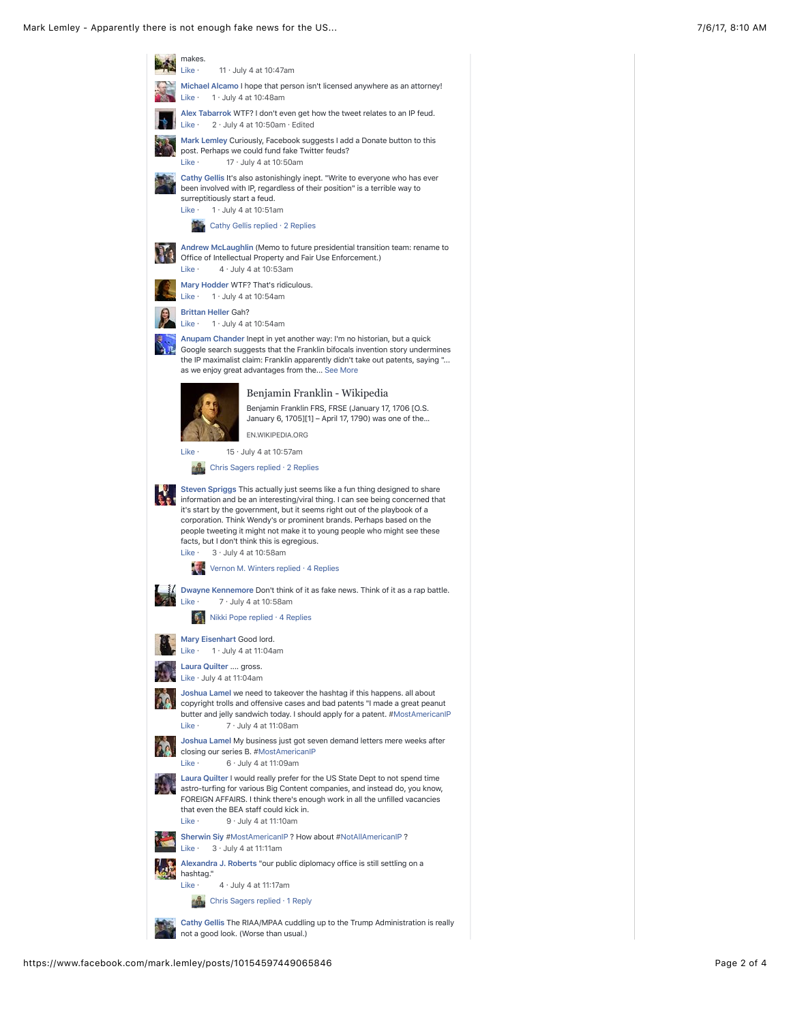Mark Lemley - Apparently there is not enough fake news for the US... 7/6/17, 8:10 AM

| makes.<br>Like ·<br>11 $\cdot$ July 4 at 10:47am                                                                                                                                                                                                                                                                                                                                                                                                                                                                              |
|-------------------------------------------------------------------------------------------------------------------------------------------------------------------------------------------------------------------------------------------------------------------------------------------------------------------------------------------------------------------------------------------------------------------------------------------------------------------------------------------------------------------------------|
| Michael Alcamo I hope that person isn't licensed anywhere as an attorney!<br>Like ·<br>$1 \cdot$ July 4 at 10:48am                                                                                                                                                                                                                                                                                                                                                                                                            |
| Alex Tabarrok WTF? I don't even get how the tweet relates to an IP feud.<br>Like ·<br>$2 \cdot$ July 4 at 10:50am $\cdot$ Edited                                                                                                                                                                                                                                                                                                                                                                                              |
| Mark Lemley Curiously, Facebook suggests I add a Donate button to this<br>post. Perhaps we could fund fake Twitter feuds?<br>Like ·<br>17 · July 4 at 10:50am                                                                                                                                                                                                                                                                                                                                                                 |
| Cathy Gellis It's also astonishingly inept. "Write to everyone who has ever<br>been involved with IP, regardless of their position" is a terrible way to<br>surreptitiously start a feud.<br>Like ·<br>$1 \cdot$ July 4 at 10:51am                                                                                                                                                                                                                                                                                            |
| Cathy Gellis replied . 2 Replies                                                                                                                                                                                                                                                                                                                                                                                                                                                                                              |
| Andrew McLaughlin (Memo to future presidential transition team: rename to<br>Office of Intellectual Property and Fair Use Enforcement.)<br>$4 \cdot$ July 4 at 10:53am<br>Like ·                                                                                                                                                                                                                                                                                                                                              |
| Mary Hodder WTF? That's ridiculous.<br>$1 \cdot$ July 4 at 10:54am<br>Like ·                                                                                                                                                                                                                                                                                                                                                                                                                                                  |
| <b>Brittan Heller Gah?</b><br>$1 \cdot$ July 4 at 10:54am<br>Like ·                                                                                                                                                                                                                                                                                                                                                                                                                                                           |
| Anupam Chander Inept in yet another way: I'm no historian, but a quick<br>Google search suggests that the Franklin bifocals invention story undermines<br>the IP maximalist claim: Franklin apparently didn't take out patents, saying "<br>as we enjoy great advantages from the See More                                                                                                                                                                                                                                    |
| Benjamin Franklin - Wikipedia                                                                                                                                                                                                                                                                                                                                                                                                                                                                                                 |
| Benjamin Franklin FRS, FRSE (January 17, 1706 [O.S.<br>January 6, 1705][1] – April 17, 1790) was one of the                                                                                                                                                                                                                                                                                                                                                                                                                   |
| EN.WIKIPEDIA.ORG                                                                                                                                                                                                                                                                                                                                                                                                                                                                                                              |
| Like ·<br>15 · July 4 at 10:57am                                                                                                                                                                                                                                                                                                                                                                                                                                                                                              |
| Chris Sagers replied · 2 Replies                                                                                                                                                                                                                                                                                                                                                                                                                                                                                              |
| Steven Spriggs This actually just seems like a fun thing designed to share<br>information and be an interesting/viral thing. I can see being concerned that<br>it's start by the government, but it seems right out of the playbook of a<br>corporation. Think Wendy's or prominent brands. Perhaps based on the<br>people tweeting it might not make it to young people who might see these<br>facts, but I don't think this is egregious.<br>Like ·<br>3 · July 4 at 10:58am<br>Vernon M. Winters replied $\cdot$ 4 Replies |
| Dwayne Kennemore Don't think of it as fake news. Think of it as a rap battle.<br>Like ·<br>$7 \cdot$ July 4 at 10:58am                                                                                                                                                                                                                                                                                                                                                                                                        |
| Nikki Pope replied · 4 Replies                                                                                                                                                                                                                                                                                                                                                                                                                                                                                                |
| Mary Eisenhart Good lord.<br>Like ·<br>$1 \cdot$ July 4 at 11:04am                                                                                                                                                                                                                                                                                                                                                                                                                                                            |
| Laura Quilter  gross.<br>Like $\cdot$ July 4 at 11:04am                                                                                                                                                                                                                                                                                                                                                                                                                                                                       |
| Joshua Lamel we need to takeover the hashtag if this happens. all about<br>copyright trolls and offensive cases and bad patents "I made a great peanut<br>butter and jelly sandwich today. I should apply for a patent. #MostAmericanIP<br>Like ·<br>$7 \cdot$ July 4 at 11:08am                                                                                                                                                                                                                                              |
| Joshua Lamel My business just got seven demand letters mere weeks after<br>closing our series B. #MostAmericanIP<br>$6 \cdot$ July 4 at 11:09am<br>Like ·                                                                                                                                                                                                                                                                                                                                                                     |
| Laura Quilter I would really prefer for the US State Dept to not spend time<br>astro-turfing for various Big Content companies, and instead do, you know,<br>FOREIGN AFFAIRS. I think there's enough work in all the unfilled vacancies<br>that even the BEA staff could kick in.<br>$9 \cdot$ July 4 at 11:10am<br>Like ·                                                                                                                                                                                                    |
| Sherwin Siy #MostAmericanIP ? How about #NotAllAmericanIP ?                                                                                                                                                                                                                                                                                                                                                                                                                                                                   |
| $3 \cdot$ July 4 at 11:11am<br>Like ·<br>Alexandra J. Roberts "our public diplomacy office is still settling on a                                                                                                                                                                                                                                                                                                                                                                                                             |
| hashtag."                                                                                                                                                                                                                                                                                                                                                                                                                                                                                                                     |
| Like ·<br>$4 \cdot$ July 4 at 11:17am                                                                                                                                                                                                                                                                                                                                                                                                                                                                                         |
| Chris Sagers replied · 1 Reply                                                                                                                                                                                                                                                                                                                                                                                                                                                                                                |
| Cathy Gellis The RIAA/MPAA cuddling up to the Trump Administration is really<br>not a good look. (Worse than usual.)                                                                                                                                                                                                                                                                                                                                                                                                          |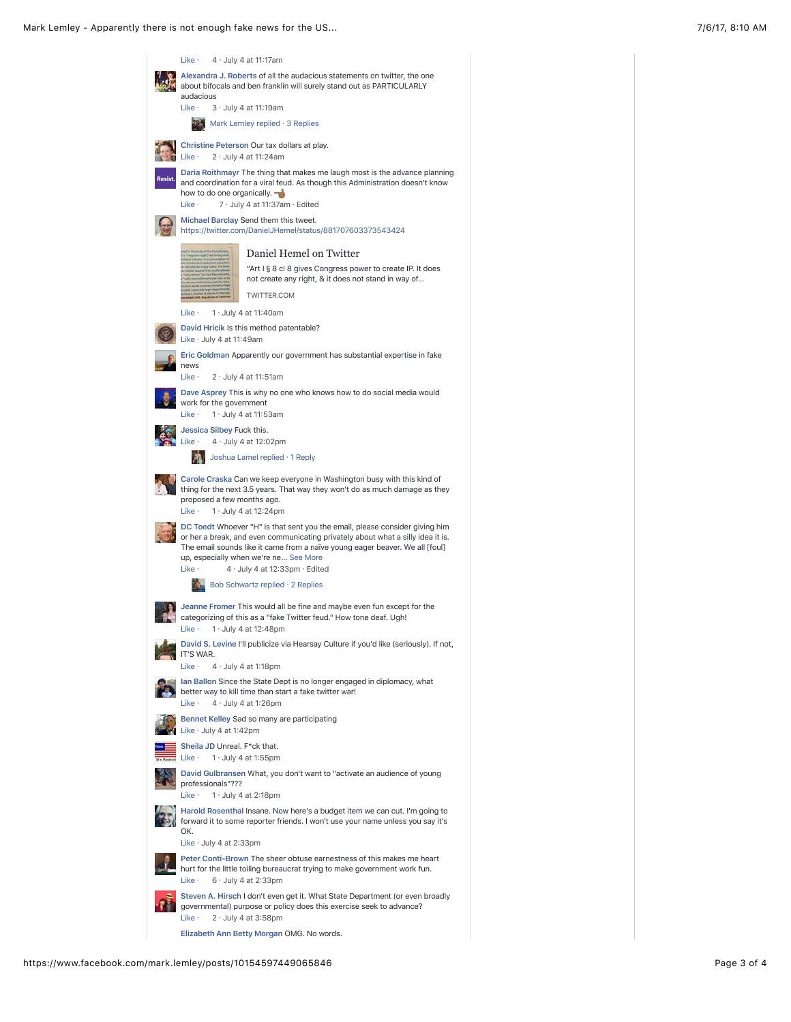| Like ·<br>4 · July 4 at 11:17am                                                                                                                                                                                                                                                                                                                 |  |
|-------------------------------------------------------------------------------------------------------------------------------------------------------------------------------------------------------------------------------------------------------------------------------------------------------------------------------------------------|--|
| Alexandra J. Roberts of all the audacious statements on twitter, the one<br>about bifocals and ben franklin will surely stand out as PARTICULARLY<br>audacious                                                                                                                                                                                  |  |
| Like ·<br>$3 \cdot$ July 4 at 11:19am                                                                                                                                                                                                                                                                                                           |  |
| <b>XX</b> Mark Lemley replied · 3 Replies                                                                                                                                                                                                                                                                                                       |  |
| Christine Peterson Our tax dollars at play.<br>Like ·<br>$2 \cdot$ July 4 at 11:24am                                                                                                                                                                                                                                                            |  |
| Daria Roithmayr The thing that makes me laugh most is the advance planning<br>and coordination for a viral feud. As though this Administration doesn't know<br>how to do one organically.<br>7 · July 4 at 11:37am · Edited<br>Like ·                                                                                                           |  |
| Michael Barclay Send them this tweet.<br>https://twitter.com/DanielJHemel/status/881707603373543424                                                                                                                                                                                                                                             |  |
| Daniel Hemel on Twitter                                                                                                                                                                                                                                                                                                                         |  |
| "Art I § 8 cl 8 gives Congress power to create IP. It does<br>not create any right, & it does not stand in way of<br>TWITTER.COM                                                                                                                                                                                                                |  |
| Like ·<br>$1 \cdot$ July 4 at 11:40am                                                                                                                                                                                                                                                                                                           |  |
| David Hricik Is this method patentable?<br>Like $\cdot$ July 4 at 11:49am                                                                                                                                                                                                                                                                       |  |
| Eric Goldman Apparently our government has substantial expertise in fake                                                                                                                                                                                                                                                                        |  |
| news<br>Like ·<br>$2 \cdot$ July 4 at 11:51am                                                                                                                                                                                                                                                                                                   |  |
| Dave Asprey This is why no one who knows how to do social media would                                                                                                                                                                                                                                                                           |  |
| work for the government<br>$1 \cdot$ July 4 at 11:53am<br>Like ·                                                                                                                                                                                                                                                                                |  |
| Jessica Silbey Fuck this.<br>Like ·<br>$4 \cdot$ July 4 at 12:02pm                                                                                                                                                                                                                                                                              |  |
| <b>AA</b> Joshua Lamel replied · 1 Reply                                                                                                                                                                                                                                                                                                        |  |
| Carole Craska Can we keep everyone in Washington busy with this kind of<br>thing for the next 3.5 years. That way they won't do as much damage as they<br>proposed a few months ago.<br>1 $\cdot$ July 4 at 12:24pm<br>Like ·                                                                                                                   |  |
| DC Toedt Whoever "H" is that sent you the email, please consider giving him<br>or her a break, and even communicating privately about what a silly idea it is.<br>The email sounds like it came from a naïve young eager beaver. We all [foul]<br>up, especially when we're ne See More<br>Like ·<br>$4 \cdot$ July 4 at 12:33pm $\cdot$ Edited |  |
| Bob Schwartz replied $\cdot$ 2 Replies                                                                                                                                                                                                                                                                                                          |  |
| Jeanne Fromer This would all be fine and maybe even fun except for the<br>categorizing of this as a "fake Twitter feud." How tone deaf. Ugh!<br>1 $\cdot$ July 4 at 12:48pm<br>Like ·                                                                                                                                                           |  |
| David S. Levine I'll publicize via Hearsay Culture if you'd like (seriously). If not,<br>IT'S WAR.                                                                                                                                                                                                                                              |  |
| Like $\cdot$ 4 $\cdot$ July 4 at 1:18pm                                                                                                                                                                                                                                                                                                         |  |
| Ian Ballon Since the State Dept is no longer engaged in diplomacy, what<br>better way to kill time than start a fake twitter war!<br>$4 \cdot$ July 4 at 1:26pm<br>Like ·                                                                                                                                                                       |  |
| Bennet Kelley Sad so many are participating<br>Like $\cdot$ July 4 at 1:42pm                                                                                                                                                                                                                                                                    |  |
| Sheila JD Unreal. F*ck that.<br>† Like ∙<br>$1 \cdot$ July 4 at 1:55pm                                                                                                                                                                                                                                                                          |  |
| David Gulbransen What, you don't want to "activate an audience of young<br>professionals"???<br>Like ·<br>$1 \cdot$ July 4 at 2:18pm                                                                                                                                                                                                            |  |
| Harold Rosenthal Insane. Now here's a budget item we can cut. I'm going to<br>forward it to some reporter friends. I won't use your name unless you say it's<br>OK.                                                                                                                                                                             |  |
| Like $\cdot$ July 4 at 2:33pm                                                                                                                                                                                                                                                                                                                   |  |
| Peter Conti-Brown The sheer obtuse earnestness of this makes me heart<br>hurt for the little toiling bureaucrat trying to make government work fun.<br>$6 \cdot$ July 4 at 2:33pm<br>Like ·                                                                                                                                                     |  |
| Steven A. Hirsch I don't even get it. What State Department (or even broadly<br>governmental) purpose or policy does this exercise seek to advance?<br>$2 \cdot$ July 4 at 3:58pm<br>Like ·                                                                                                                                                     |  |
| Elizabeth Ann Betty Morgan OMG. No words.                                                                                                                                                                                                                                                                                                       |  |